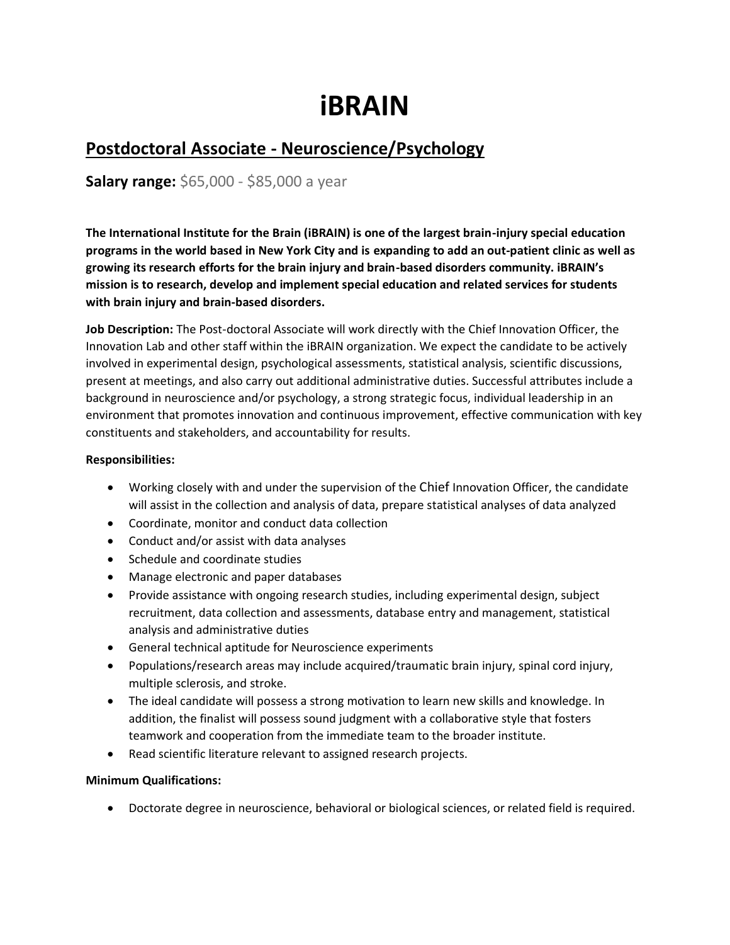# **iBRAIN**

# **Postdoctoral Associate - Neuroscience/Psychology**

**Salary range:** \$65,000 - \$85,000 a year

**The International Institute for the Brain (iBRAIN) is one of the largest brain-injury special education programs in the world based in New York City and is expanding to add an out-patient clinic as well as growing its research efforts for the brain injury and brain-based disorders community. iBRAIN's mission is to research, develop and implement special education and related services for students with brain injury and brain-based disorders.**

**Job Description:** The Post-doctoral Associate will work directly with the Chief Innovation Officer, the Innovation Lab and other staff within the iBRAIN organization. We expect the candidate to be actively involved in experimental design, psychological assessments, statistical analysis, scientific discussions, present at meetings, and also carry out additional administrative duties. Successful attributes include a background in neuroscience and/or psychology, a strong strategic focus, individual leadership in an environment that promotes innovation and continuous improvement, effective communication with key constituents and stakeholders, and accountability for results.

#### **Responsibilities:**

- Working closely with and under the supervision of the Chief Innovation Officer, the candidate will assist in the collection and analysis of data, prepare statistical analyses of data analyzed
- Coordinate, monitor and conduct data collection
- Conduct and/or assist with data analyses
- Schedule and coordinate studies
- Manage electronic and paper databases
- Provide assistance with ongoing research studies, including experimental design, subject recruitment, data collection and assessments, database entry and management, statistical analysis and administrative duties
- General technical aptitude for Neuroscience experiments
- Populations/research areas may include acquired/traumatic brain injury, spinal cord injury, multiple sclerosis, and stroke.
- The ideal candidate will possess a strong motivation to learn new skills and knowledge. In addition, the finalist will possess sound judgment with a collaborative style that fosters teamwork and cooperation from the immediate team to the broader institute.
- Read scientific literature relevant to assigned research projects.

#### **Minimum Qualifications:**

• Doctorate degree in neuroscience, behavioral or biological sciences, or related field is required.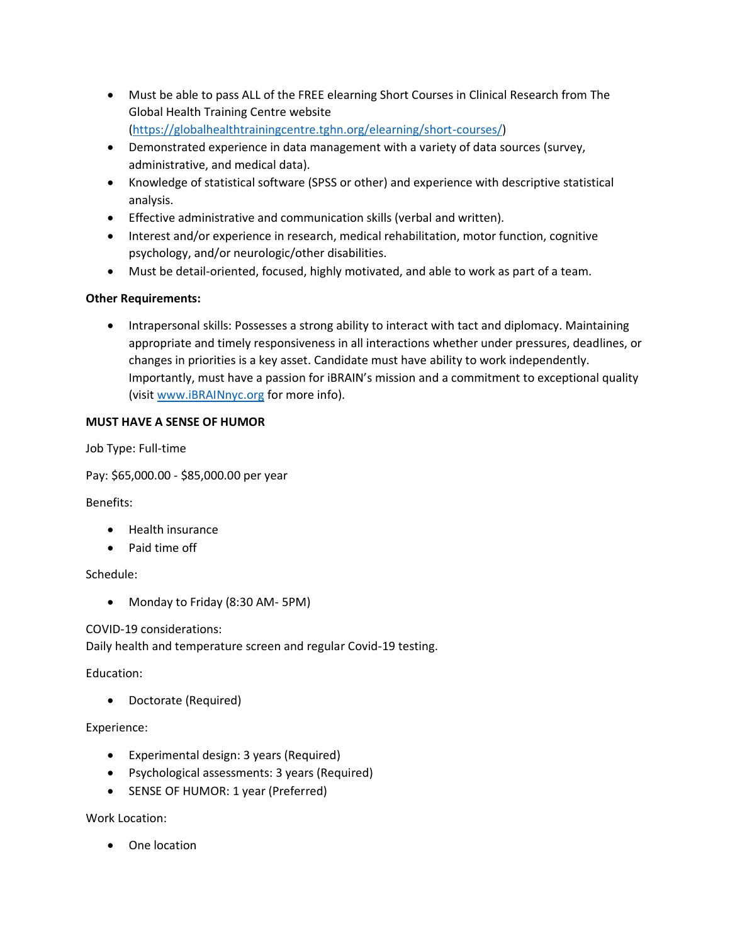- Must be able to pass ALL of the FREE elearning Short Courses in Clinical Research from The Global Health Training Centre website [\(https://globalhealthtrainingcentre.tghn.org/elearning/short-courses/\)](https://globalhealthtrainingcentre.tghn.org/elearning/short-courses/)
- Demonstrated experience in data management with a variety of data sources (survey, administrative, and medical data).
- Knowledge of statistical software (SPSS or other) and experience with descriptive statistical analysis.
- Effective administrative and communication skills (verbal and written).
- Interest and/or experience in research, medical rehabilitation, motor function, cognitive psychology, and/or neurologic/other disabilities.
- Must be detail-oriented, focused, highly motivated, and able to work as part of a team.

## **Other Requirements:**

• Intrapersonal skills: Possesses a strong ability to interact with tact and diplomacy. Maintaining appropriate and timely responsiveness in all interactions whether under pressures, deadlines, or changes in priorities is a key asset. Candidate must have ability to work independently. Importantly, must have a passion for iBRAIN's mission and a commitment to exceptional quality (visit [www.iBRAINnyc.org](https://usc-word-edit.officeapps.live.com/we/www.iBRAINnyc.org) for more info).

## **MUST HAVE A SENSE OF HUMOR**

Job Type: Full-time

Pay: \$65,000.00 - \$85,000.00 per year

Benefits:

- Health insurance
- Paid time off

Schedule:

• Monday to Friday (8:30 AM- 5PM)

COVID-19 considerations:

Daily health and temperature screen and regular Covid-19 testing.

Education:

• Doctorate (Required)

#### Experience:

- Experimental design: 3 years (Required)
- Psychological assessments: 3 years (Required)
- SENSE OF HUMOR: 1 year (Preferred)

Work Location:

• One location